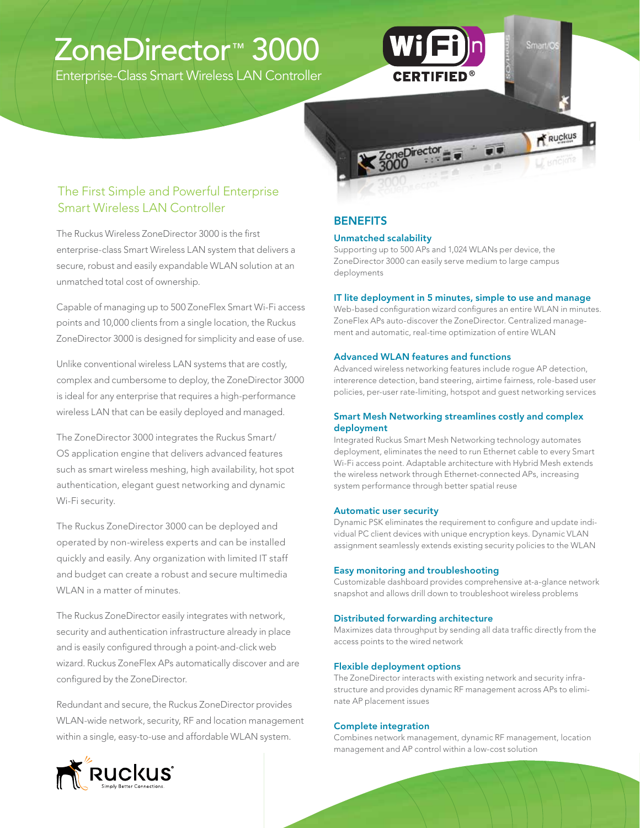# ZoneDirector™ 3000

Enterprise-Class Smart Wireless LAN Controller



The Ruckus Wireless ZoneDirector 3000 is the first enterprise-class Smart Wireless LAN system that delivers a secure, robust and easily expandable WLAN solution at an unmatched total cost of ownership.

Capable of managing up to 500 ZoneFlex Smart Wi-Fi access points and 10,000 clients from a single location, the Ruckus ZoneDirector 3000 is designed for simplicity and ease of use.

Unlike conventional wireless LAN systems that are costly, complex and cumbersome to deploy, the ZoneDirector 3000 is ideal for any enterprise that requires a high-performance wireless LAN that can be easily deployed and managed.

The ZoneDirector 3000 integrates the Ruckus Smart/ OS application engine that delivers advanced features such as smart wireless meshing, high availability, hot spot authentication, elegant guest networking and dynamic Wi-Fi security.

The Ruckus ZoneDirector 3000 can be deployed and operated by non-wireless experts and can be installed quickly and easily. Any organization with limited IT staff and budget can create a robust and secure multimedia WLAN in a matter of minutes.

The Ruckus ZoneDirector easily integrates with network, security and authentication infrastructure already in place and is easily configured through a point-and-click web wizard. Ruckus ZoneFlex APs automatically discover and are configured by the ZoneDirector.

Redundant and secure, the Ruckus ZoneDirector provides WLAN-wide network, security, RF and location management within a single, easy-to-use and affordable WLAN system.

### **BENEFITS**

### Unmatched scalability

Supporting up to 500 APs and 1,024 WLANs per device, the ZoneDirector 3000 can easily serve medium to large campus deployments

### IT lite deployment in 5 minutes, simple to use and manage

Web-based configuration wizard configures an entire WLAN in minutes. ZoneFlex APs auto-discover the ZoneDirector. Centralized management and automatic, real-time optimization of entire WLAN

JO

Ruckus

### Advanced WLAN features and functions

Advanced wireless networking features include rogue AP detection, intererence detection, band steering, airtime fairness, role-based user policies, per-user rate-limiting, hotspot and guest networking services

### Smart Mesh Networking streamlines costly and complex deployment

Integrated Ruckus Smart Mesh Networking technology automates deployment, eliminates the need to run Ethernet cable to every Smart Wi-Fi access point. Adaptable architecture with Hybrid Mesh extends the wireless network through Ethernet-connected APs, increasing system performance through better spatial reuse

### Automatic user security

Dynamic PSK eliminates the requirement to configure and update individual PC client devices with unique encryption keys. Dynamic VLAN assignment seamlessly extends existing security policies to the WLAN

### Easy monitoring and troubleshooting

Customizable dashboard provides comprehensive at-a-glance network snapshot and allows drill down to troubleshoot wireless problems

#### Distributed forwarding architecture

Maximizes data throughput by sending all data traffic directly from the access points to the wired network

### Flexible deployment options

The ZoneDirector interacts with existing network and security infrastructure and provides dynamic RF management across APs to eliminate AP placement issues

### Complete integration

Combines network management, dynamic RF management, location management and AP control within a low-cost solution

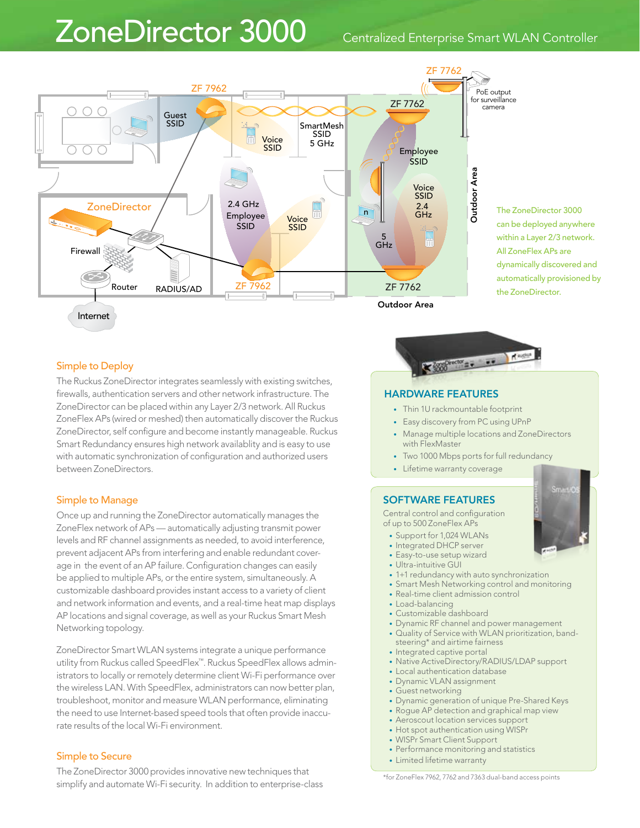## ZoneDirector 3000 Centralized Enterprise Smart WLAN Controller



### Simple to Deploy

The Ruckus ZoneDirector integrates seamlessly with existing switches, firewalls, authentication servers and other network infrastructure. The ZoneDirector can be placed within any Layer 2/3 network. All Ruckus ZoneFlex APs (wired or meshed) then automatically discover the Ruckus ZoneDirector, self configure and become instantly manageable. Ruckus Smart Redundancy ensures high network availablity and is easy to use with automatic synchronization of configuration and authorized users between ZoneDirectors.

### Simple to Manage

Once up and running the ZoneDirector automatically manages the ZoneFlex network of APs — automatically adjusting transmit power levels and RF channel assignments as needed, to avoid interference, prevent adjacent APs from interfering and enable redundant coverage in the event of an AP failure. Configuration changes can easily be applied to multiple APs, or the entire system, simultaneously. A customizable dashboard provides instant access to a variety of client and network information and events, and a real-time heat map displays AP locations and signal coverage, as well as your Ruckus Smart Mesh Networking topology.

ZoneDirector Smart WLAN systems integrate a unique performance utility from Ruckus called SpeedFlex™. Ruckus SpeedFlex allows administrators to locally or remotely determine client Wi-Fi performance over the wireless LAN. With SpeedFlex, administrators can now better plan, troubleshoot, monitor and measure WLAN performance, eliminating the need to use Internet-based speed tools that often provide inaccurate results of the local Wi-Fi environment.

### Simple to Secure

The ZoneDirector 3000 provides innovative new techniques that simplify and automate Wi-Fi security. In addition to enterprise-class



- Thin 1U rackmountable footprint
- Easy discovery from PC using UPnP
- Manage multiple locations and ZoneDirectors with FlexMaster
- Two 1000 Mbps ports for full redundancy
- • Lifetime warranty coverage

### SOFTWARE FEATURES

Central control and configuration of up to 500 ZoneFlex APs

- Support for 1,024 WLANs
- Integrated DHCP server
- Easy-to-use setup wizard
- Ultra-intuitive GUI
- 1+1 redundancy with auto synchronization
- Smart Mesh Networking control and monitoring
- Real-time client admission control
- Load-balancing
- Customizable dashboard
- Dynamic RF channel and power management
- Quality of Service with WLAN prioritization, bandsteering\* and airtime fairness
- Integrated captive portal
- Native ActiveDirectory/RADIUS/LDAP support
- Local authentication database
- Dynamic VLAN assignment
- Guest networking
- Dynamic generation of unique Pre-Shared Keys
- Rogue AP detection and graphical map view
- Aeroscout location services support
- Hot spot authentication using WISPr
- WISPr Smart Client Support
- Performance monitoring and statistics
- Limited lifetime warranty

\*for ZoneFlex 7962, 7762 and 7363 dual-band access points

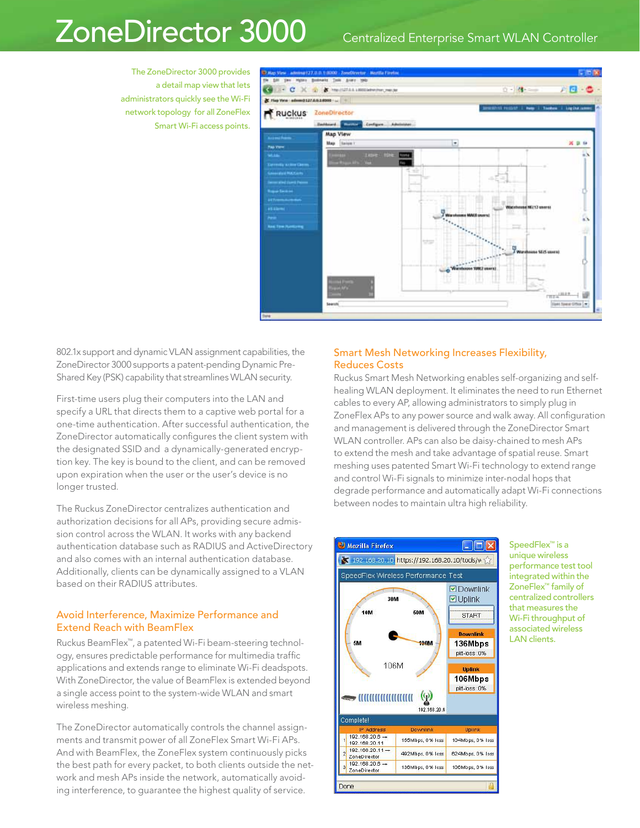## ZoneDirector 3000 Centralized Enterprise Smart WLAN Controller

The ZoneDirector 3000 provides a detail map view that lets administrators quickly see the Wi-Fi network topology for all ZoneFlex Smart Wi-Fi access points.



802.1x support and dynamic VLAN assignment capabilities, the ZoneDirector 3000 supports a patent-pending Dynamic Pre-Shared Key (PSK) capability that streamlines WLAN security.

First-time users plug their computers into the LAN and specify a URL that directs them to a captive web portal for a one-time authentication. After successful authentication, the ZoneDirector automatically configures the client system with the designated SSID and a dynamically-generated encryption key. The key is bound to the client, and can be removed upon expiration when the user or the user's device is no longer trusted.

The Ruckus ZoneDirector centralizes authentication and authorization decisions for all APs, providing secure admission control across the WLAN. It works with any backend authentication database such as RADIUS and ActiveDirectory and also comes with an internal authentication database. Additionally, clients can be dynamically assigned to a VLAN based on their RADIUS attributes.

### Avoid Interference, Maximize Performance and Extend Reach with BeamFlex

Ruckus BeamFlex™, a patented Wi-Fi beam-steering technology, ensures predictable performance for multimedia traffic applications and extends range to eliminate Wi-Fi deadspots. With ZoneDirector, the value of BeamFlex is extended beyond a single access point to the system-wide WLAN and smart wireless meshing.

The ZoneDirector automatically controls the channel assignments and transmit power of all ZoneFlex Smart Wi-Fi APs. And with BeamFlex, the ZoneFlex system continuously picks the best path for every packet, to both clients outside the network and mesh APs inside the network, automatically avoiding interference, to guarantee the highest quality of service.

### Smart Mesh Networking Increases Flexibility, Reduces Costs

Ruckus Smart Mesh Networking enables self-organizing and selfhealing WLAN deployment. It eliminates the need to run Ethernet cables to every AP, allowing administrators to simply plug in ZoneFlex APs to any power source and walk away. All configuration and management is delivered through the ZoneDirector Smart WLAN controller. APs can also be daisy-chained to mesh APs to extend the mesh and take advantage of spatial reuse. Smart meshing uses patented Smart Wi-Fi technology to extend range and control Wi-Fi signals to minimize inter-nodal hops that degrade performance and automatically adapt Wi-Fi connections between nodes to maintain ultra high reliability.



SpeedFlex™ is a unique wireless performance test tool integrated within the ZoneFlex™ family of centralized controllers that measures the Wi-Fi throughput of associated wireless LAN clients.